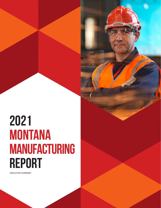# **2021 MONTANA MANUFACTURING REPORT**

EXECUTIVE SUMMARY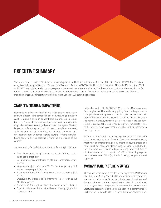

## **EXECUTIVE SUMMARY**

This report is on the state of Montana manufacturing conducted for the Montana Manufacturing Extension Center (MMEC). The report and analysis was done by the Bureau of Business and Economic Research (BBER) at the University of Montana. This is the 25th year that BBER and MMEC have collaborated to produce reports on Montana's manufacturing climate. The three primary topics are: the state of manufacturing at the state and national level in a general economic context; a survey of Montana manufacturers about the state of Montana manufacturing; and an impact survey of firms which used MMEC's consulting services.

#### **STATE OF MONTANA MANUFACTURING**

Montana's manufacturers face different challenges than the nation as a whole because the composition of manufacturing production is different and is primarily concentrated in nondurable production – the Bureau of Economic Analysis defines nondurable goods as goods that have an average life of less than three years. The two largest manufacturing sectors in Montana, petroleum and coal, and wood product manufacturing, are not among the seven largest sectors nationally, demonstrating how the Montana manufacturing sector differs substantially from the experience of the country.

Some summary facts about Montana manufacturing in 2020 are:

- Over 3,900 manufacturing firms are in operation in Montana, including sole proprietors;
- Manufacturing accounts for roughly 16% of Montana's economic base;
- Manufacturing jobs paid about \$52,111 in earnings, compared to the state average of \$46,743;
- Accounts for 5.1% of total private state income equaling \$1.1 billion;
- Employs 4.3% of Montana's nonfarm workforce, with about 20,400 employees;
- Produced 6.1% of Montana's output with a value of \$3.1 billion;
- Grew more than double the national average in employment, income and output.

In the aftermath of the 2020 COVID-19 recession, Montana manufacturing bounced back relatively quickly from the deep economic drop in the second quarter of 2020. Last year, we predicted that nondurable manufacturing would return to pre-COVID levels with in a year or so. Employment in this sector returned to pre-pandemic levels in early 2021. Durable manufacturing is forecast to return to the long-run trend a year or so later, in line with our predictions from a year ago.

Montana manufacturers are active in global markets as well. The three largest export sectors for Montana in 2020 were: chemicals, machinery and transportation equipment. Food, beverages and tobacco fell out of second place during the pandemic. By far the largest export market is Canada, accounting for almost 30% of Montana's manufactured exports. In 2020, the remaining large export markets were: China (2), South Korea (3), Belgium (4), and Japan (5).

### **MONTANA MANUFACTURERS SURVEY**

This section of the report presents the findings of the 2021 Montana Manufacturers Survey. The initial Montana manufacturers survey was conducted in 1999. Since then, the Bureau of Business and Economic Research at the University of Montana has conducted this survey each year. The purpose of the survey is to learn the manufacturers' assessment of their plant's economic performance in 2020 and their outlook for 2021. This year, the annual Montana man-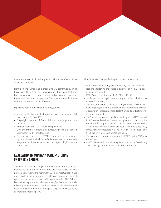

ufacturers survey included a question about the effects of the COVID-19 pandemic.

Manufacturing in Montana is predominantly performed by small businesses. The U.S. Census Bureau reports 1,666 manufacturing firms with employees in Montana, and 51% of Montana manufacturers have five or less employees. There are no manufacturers with 300 or more workers in the state.

Highlights from the 2020 manufacturing survey:

- About one-third of manufacturing firms saw an increase in total sales and profits from 2019;
- Fifty-eight percent of firms did not reduce production capacity;
- A minority of firms (25%) reduced employment;
- Over one-third of Montana's manufacturing firms experienced a significant worker shortage; and
- The primary impacts of the COVID-19 pandemic on manufacturing in 2020 were the inability to find employees and intermediate goods supply either because of shortages or high transportation costs.

#### **EVALUATION OF MONTANA MANUFACTURING EXTENSION CENTER**

The Montana Manufacturing Extension Center works with manufacturers to create and retain jobs, innovate, reduce costs, increase profits, and save time and money. MMEC employees typically make on-site visits to manufacturing clients to assess problems, suggest appropriate solutions and assist with implementation. MMEC closely monitors its performance by welcoming feedback and carefully following an evaluation procedure developed by the National Institute of Standards and Technology (NIST) and administered by an independent third party.

The primary NIST survey findings from 2020 are as follows:

- Montana manufacturing clients were very satisfied, with 63% of respondents saying they relied exclusively on MMEC as a business service provider;
- MMEC's net promoter score for 2020 was 87/100.
- Staff expertise was again the most important factor for firms to use MMEC services;
- The most important challenges facing surveyed MMEC clients were ongoing continuous improvement/cost reduction strategies, employee recruitment and retention, and product innovation/development;
- 2020 survey respondents said that working with MMEC resulted in 310 new and retained manufacturing jobs and directly or indirectly added approximately \$2.2 million to Montana individual income tax revenue over the previous 12 months. Since 2000, MMEC visits have resulted in 6,496 created or retained jobs and \$1.35 billion in increased or retained sales;
- The Montana return on investment for MMEC during 2020 was 4.4 to 1; and
- MMEC clients paid approximately \$220 thousand in fees during 2020, yielding a return on investment of about 82 to 1.